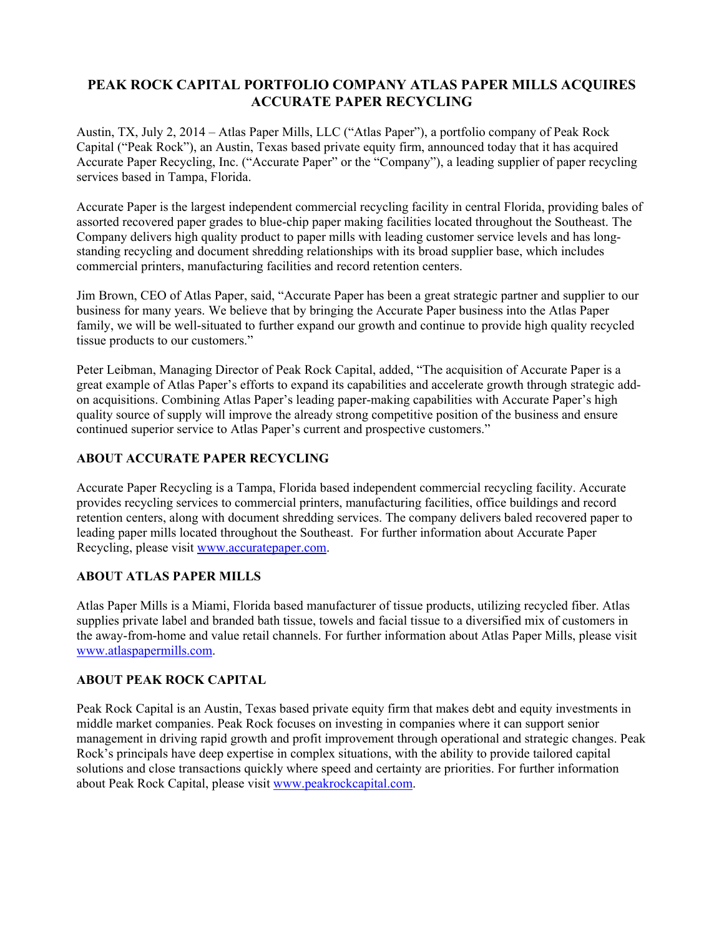# **PEAK ROCK CAPITAL PORTFOLIO COMPANY ATLAS PAPER MILLS ACQUIRES ACCURATE PAPER RECYCLING**

Austin, TX, July 2, 2014 – Atlas Paper Mills, LLC ("Atlas Paper"), a portfolio company of Peak Rock Capital ("Peak Rock"), an Austin, Texas based private equity firm, announced today that it has acquired Accurate Paper Recycling, Inc. ("Accurate Paper" or the "Company"), a leading supplier of paper recycling services based in Tampa, Florida.

Accurate Paper is the largest independent commercial recycling facility in central Florida, providing bales of assorted recovered paper grades to blue-chip paper making facilities located throughout the Southeast. The Company delivers high quality product to paper mills with leading customer service levels and has longstanding recycling and document shredding relationships with its broad supplier base, which includes commercial printers, manufacturing facilities and record retention centers.

Jim Brown, CEO of Atlas Paper, said, "Accurate Paper has been a great strategic partner and supplier to our business for many years. We believe that by bringing the Accurate Paper business into the Atlas Paper family, we will be well-situated to further expand our growth and continue to provide high quality recycled tissue products to our customers."

Peter Leibman, Managing Director of Peak Rock Capital, added, "The acquisition of Accurate Paper is a great example of Atlas Paper's efforts to expand its capabilities and accelerate growth through strategic addon acquisitions. Combining Atlas Paper's leading paper-making capabilities with Accurate Paper's high quality source of supply will improve the already strong competitive position of the business and ensure continued superior service to Atlas Paper's current and prospective customers."

## **ABOUT ACCURATE PAPER RECYCLING**

Accurate Paper Recycling is a Tampa, Florida based independent commercial recycling facility. Accurate provides recycling services to commercial printers, manufacturing facilities, office buildings and record retention centers, along with document shredding services. The company delivers baled recovered paper to leading paper mills located throughout the Southeast. For further information about Accurate Paper Recycling, please visit www.accuratepaper.com.

#### **ABOUT ATLAS PAPER MILLS**

Atlas Paper Mills is a Miami, Florida based manufacturer of tissue products, utilizing recycled fiber. Atlas supplies private label and branded bath tissue, towels and facial tissue to a diversified mix of customers in the away-from-home and value retail channels. For further information about Atlas Paper Mills, please visit www.atlaspapermills.com.

#### **ABOUT PEAK ROCK CAPITAL**

Peak Rock Capital is an Austin, Texas based private equity firm that makes debt and equity investments in middle market companies. Peak Rock focuses on investing in companies where it can support senior management in driving rapid growth and profit improvement through operational and strategic changes. Peak Rock's principals have deep expertise in complex situations, with the ability to provide tailored capital solutions and close transactions quickly where speed and certainty are priorities. For further information about Peak Rock Capital, please visit www.peakrockcapital.com.